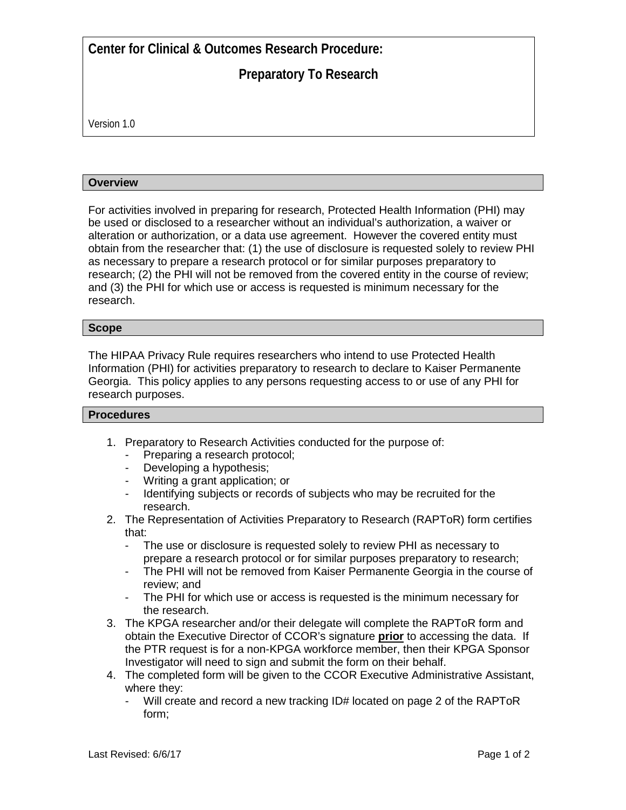**Center for Clinical & Outcomes Research Procedure:**

# **Preparatory To Research**

Version 1.0

### **Overview**

For activities involved in preparing for research, Protected Health Information (PHI) may be used or disclosed to a researcher without an individual's authorization, a waiver or alteration or authorization, or a data use agreement. However the covered entity must obtain from the researcher that: (1) the use of disclosure is requested solely to review PHI as necessary to prepare a research protocol or for similar purposes preparatory to research; (2) the PHI will not be removed from the covered entity in the course of review; and (3) the PHI for which use or access is requested is minimum necessary for the research.

### **Scope**

The HIPAA Privacy Rule requires researchers who intend to use Protected Health Information (PHI) for activities preparatory to research to declare to Kaiser Permanente Georgia. This policy applies to any persons requesting access to or use of any PHI for research purposes.

#### **Procedures**

- 1. Preparatory to Research Activities conducted for the purpose of:
	- Preparing a research protocol;
	- Developing a hypothesis;
	- Writing a grant application; or
	- Identifying subjects or records of subjects who may be recruited for the research.
- 2. The Representation of Activities Preparatory to Research (RAPToR) form certifies that:
	- The use or disclosure is requested solely to review PHI as necessary to prepare a research protocol or for similar purposes preparatory to research;
	- The PHI will not be removed from Kaiser Permanente Georgia in the course of review; and
	- The PHI for which use or access is requested is the minimum necessary for the research.
- 3. The KPGA researcher and/or their delegate will complete the RAPToR form and obtain the Executive Director of CCOR's signature **prior** to accessing the data. If the PTR request is for a non-KPGA workforce member, then their KPGA Sponsor Investigator will need to sign and submit the form on their behalf.
- 4. The completed form will be given to the CCOR Executive Administrative Assistant, where they:
	- Will create and record a new tracking ID# located on page 2 of the RAPToR form;